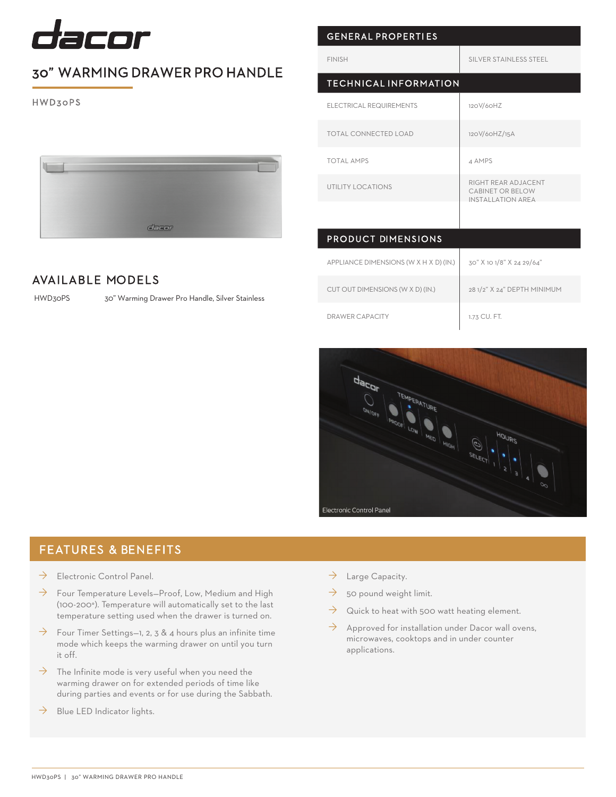

## 30" WARMING DRAWER PRO HANDLE

HWD30PS



### AVAILABLE MODELS

HWD30PS

30" Warming Drawer Pro Handle, Silver Stainless

| <b>GENERAL PROPERTIES</b>              |                                                                     |
|----------------------------------------|---------------------------------------------------------------------|
| <b>FINISH</b>                          | SILVER STAINLESS STEEL                                              |
| <b>TECHNICAL INFORMATION</b>           |                                                                     |
| ELECTRICAL REQUIREMENTS                | 120V/60HZ                                                           |
| <b>TOTAL CONNECTED LOAD</b>            | 120V/60HZ/15A                                                       |
| TOTAL AMPS                             | 4 AMPS                                                              |
| UTILITY LOCATIONS                      | RIGHT REAR ADJACENT<br>CABINET OR BELOW<br><b>INSTALLATION AREA</b> |
|                                        |                                                                     |
| <b>PRODUCT DIMENSIONS</b>              |                                                                     |
| APPLIANCE DIMENSIONS (W X H X D) (IN.) | 30" X 10 1/8" X 24 29/64"                                           |
| CUT OUT DIMENSIONS (W X D) (IN.)       | 28 1/2" X 24" DEPTH MINIMUM                                         |
|                                        |                                                                     |

DRAWER CAPACITY 1.73 CU. FT.



#### FEATURES & BENEFITS

- $\rightarrow$  Electronic Control Panel.
- $\rightarrow$  Four Temperature Levels–Proof, Low, Medium and High (100-200°). Temperature will automatically set to the last temperature setting used when the drawer is turned on.
- $\rightarrow$  Four Timer Settings-1, 2, 3 & 4 hours plus an infinite time mode which keeps the warming drawer on until you turn it off.
- $\rightarrow$  The Infinite mode is very useful when you need the warming drawer on for extended periods of time like during parties and events or for use during the Sabbath.
- $\rightarrow$  Blue LED Indicator lights.
- $\rightarrow$  Large Capacity.
- $\rightarrow$  50 pound weight limit.
- $\rightarrow$  Quick to heat with 500 watt heating element.
- $\rightarrow$  Approved for installation under Dacor wall ovens, microwaves, cooktops and in under counter applications.